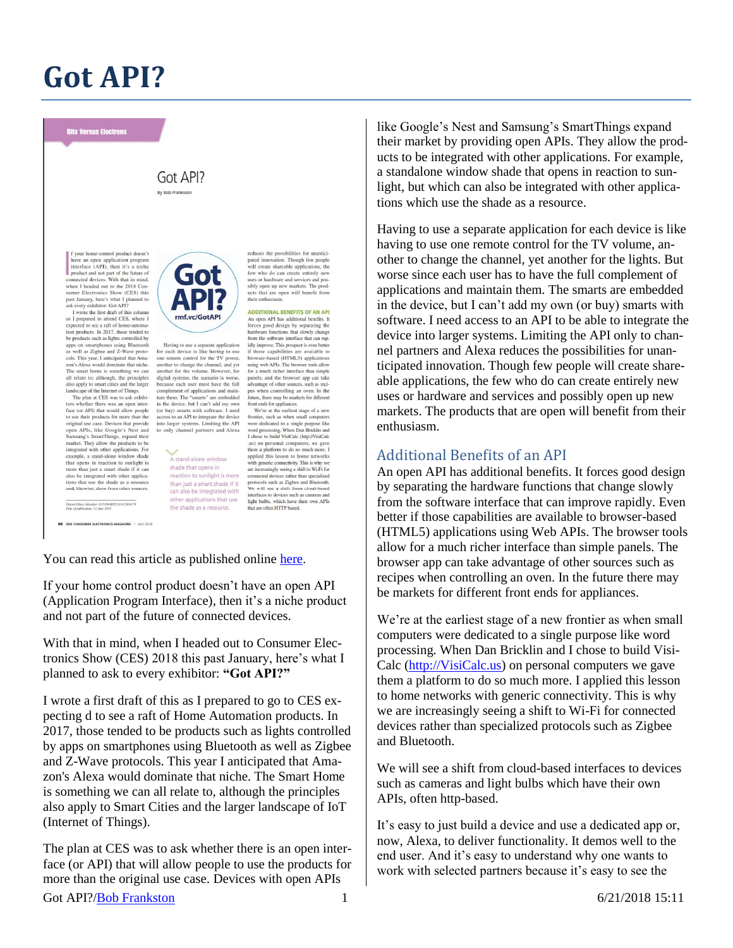## **Got API?**

## **Bits Versus Electrons**

## Got API? By Bob Frankston

your home-control product doesn't have an open application program mare an open approation program<br>interface (API), then it's a niche<br>product and not part of the future of<br>connected devices. With that in mind,<br>when I headed out to the 2018 Con-<br>sumer Electronics Show (CES) this

sumer Electronics Show (CES) this<br>past Japanay, here's what I planned to<br>ask every exhibitor: Got AP!?<br>I wrote the first draft of this column<br>as I prepared to attend CES, where 1<br>expected to see a rati of home-automa-<br>ton apps on smartphones using Bluetooth<br>as well as Zigbee and Z-Wave protocols. This year, I anticipated that Amazon's Alexa would dominate that niche. The smart home is something we can all relate to; although, the principles

all relate to; although, the principles<br>also apply to smart cities and the larger<br>landscape of the Internet of Things.<br>The plan at CES was to ask exhibitions<br>whether there was an open inter-<br>face (or API) that would allow integrated with other applications. For example, a stand-alone window shade that opens in reaction to sunlight is more than just a smart shade if it ca more than just a smart shade if it can<br>also be integrated with other applica-<br>tions that use the shade as a resource<br>and, likewise, draw from other sources.

-<br>Digital Object Idemifier 10.1109/MCE.2018.2816178<br>Date of publication: 13 June 2018

IEEE CONSUMER ELECTRONICS MAGAZINE A JULY 2018



Having to use a separate application<br>for each device is like having to use one remote control for the TV power, another to change the channel, and yet another for the volume. However, for digital systems, the scenario is w because each user must have the full because each user must have the full consequent of applications and main-<br>tain them. The "smarts" are embedded in the device, but I can't add my own<br>(or buy) smarts with software. I need (or buy) smarts with software. I ne

> A stand-alone window shade that opens in reaction to sunlight is more than just a smart shade if it can also be integrated with other applications that use the shade as a resource.

reduces the possibilities for unantic pated innovation. Though few people will create shareable applications, the few who do can create entirely new tow this do can excite children journals or hardware and services and possibly open up new markets. The products that are open will benefit from their enthusiasn

**ADDITIONAL BENEFITS OF AN API An open API has additional benefits. It**<br>forces good design by separating the<br>hardware functions that slowly change<br>from the software interface that can rapidly improve. This prospect is even better if those capabilities are available to browser-based (HTML5) applications using web APIs. The browser tools allow for a much richer interface than simple for a much richer interface than simple parameters<br>and the browser app can take advantage of other sources, such as recipies<br>when controlling an over. In the fiture, there may be markeds for different<br>future, there may be

.us) on personal computers, we gave<br>them a platform to do so much more. I applied this lesson to home networks with generic connectivity. This is why we<br>are increasingly seeing a shift to Wi-Fi for connected devices rather than specializ connected devices rather than specialized<br>protocols such as Zigbee and Bluetooth.<br>We will see a shift from cloud-based<br>interfaces to devices such as camenas and<br>light bulbs, which have their own APIs<br>that are often HTTP ba

You can read this article as published online [here.](https://ieeexplore.ieee.org/stamp/stamp.jsp?tp=&arnumber=8386895)

If your home control product doesn't have an open API (Application Program Interface), then it's a niche product and not part of the future of connected devices.

With that in mind, when I headed out to Consumer Electronics Show (CES) 2018 this past January, here's what I planned to ask to every exhibitor: **"Got API?"**

I wrote a first draft of this as I prepared to go to CES expecting d to see a raft of Home Automation products. In 2017, those tended to be products such as lights controlled by apps on smartphones using Bluetooth as well as Zigbee and Z-Wave protocols. This year I anticipated that Amazon's Alexa would dominate that niche. The Smart Home is something we can all relate to, although the principles also apply to Smart Cities and the larger landscape of IoT (Internet of Things).

The plan at CES was to ask whether there is an open interface (or API) that will allow people to use the products for more than the original use case. Devices with open APIs

like Google's Nest and Samsung's SmartThings expand their market by providing open APIs. They allow the products to be integrated with other applications. For example, a standalone window shade that opens in reaction to sunlight, but which can also be integrated with other applications which use the shade as a resource.

Having to use a separate application for each device is like having to use one remote control for the TV volume, another to change the channel, yet another for the lights. But worse since each user has to have the full complement of applications and maintain them. The smarts are embedded in the device, but I can't add my own (or buy) smarts with software. I need access to an API to be able to integrate the device into larger systems. Limiting the API only to channel partners and Alexa reduces the possibilities for unanticipated innovation. Though few people will create shareable applications, the few who do can create entirely new uses or hardware and services and possibly open up new markets. The products that are open will benefit from their enthusiasm.

## Additional Benefits of an API

An open API has additional benefits. It forces good design by separating the hardware functions that change slowly from the software interface that can improve rapidly. Even better if those capabilities are available to browser-based (HTML5) applications using Web APIs. The browser tools allow for a much richer interface than simple panels. The browser app can take advantage of other sources such as recipes when controlling an oven. In the future there may be markets for different front ends for appliances.

We're at the earliest stage of a new frontier as when small computers were dedicated to a single purpose like word processing. When Dan Bricklin and I chose to build Visi-Calc [\(http://VisiCalc.us\)](http://visicalc.us/) on personal computers we gave them a platform to do so much more. I applied this lesson to home networks with generic connectivity. This is why we are increasingly seeing a shift to Wi-Fi for connected devices rather than specialized protocols such as Zigbee and Bluetooth.

We will see a shift from cloud-based interfaces to devices such as cameras and light bulbs which have their own APIs, often http-based.

It's easy to just build a device and use a dedicated app or, now, Alexa, to deliver functionality. It demos well to the end user. And it's easy to understand why one wants to work with selected partners because it's easy to see the